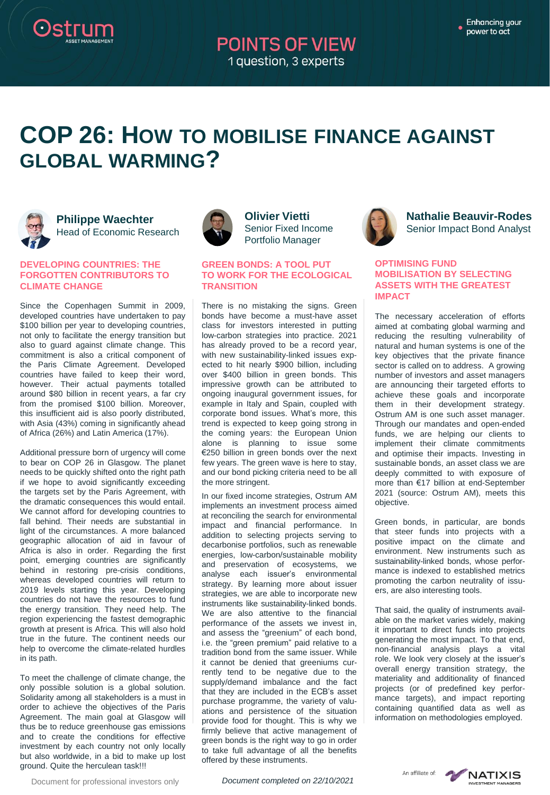## **POINTS OF VIEW** 1 question, 3 experts

# **COP 26: HOW TO MOBILISE FINANCE AGAINST GLOBAL WARMING?**



## **Philippe Waechter** Head of Economic Research

#### **DEVELOPING COUNTRIES: THE FORGOTTEN CONTRIBUTORS TO CLIMATE CHANGE**

Since the Copenhagen Summit in 2009, developed countries have undertaken to pay \$100 billion per year to developing countries, not only to facilitate the energy transition but also to guard against climate change. This commitment is also a critical component of the Paris Climate Agreement. Developed countries have failed to keep their word, however. Their actual payments totalled around \$80 billion in recent years, a far cry from the promised \$100 billion. Moreover, this insufficient aid is also poorly distributed, with Asia (43%) coming in significantly ahead of Africa (26%) and Latin America (17%).

Additional pressure born of urgency will come to bear on COP 26 in Glasgow. The planet needs to be quickly shifted onto the right path if we hope to avoid significantly exceeding the targets set by the Paris Agreement, with the dramatic consequences this would entail. We cannot afford for developing countries to fall behind. Their needs are substantial in light of the circumstances. A more balanced geographic allocation of aid in favour of Africa is also in order. Regarding the first point, emerging countries are significantly behind in restoring pre-crisis conditions, whereas developed countries will return to 2019 levels starting this year. Developing countries do not have the resources to fund the energy transition. They need help. The region experiencing the fastest demographic growth at present is Africa. This will also hold true in the future. The continent needs our help to overcome the climate-related hurdles in its path.

To meet the challenge of climate change, the only possible solution is a global solution. Solidarity among all stakeholders is a must in order to achieve the objectives of the Paris Agreement. The main goal at Glasgow will thus be to reduce greenhouse gas emissions and to create the conditions for effective investment by each country not only locally but also worldwide, in a bid to make up lost ground. Quite the herculean task!!!



## **Olivier Vietti** Senior Fixed Income Portfolio Manager

### **GREEN BONDS: A TOOL PUT TO WORK FOR THE ECOLOGICAL TRANSITION**

There is no mistaking the signs. Green bonds have become a must-have asset class for investors interested in putting low-carbon strategies into practice. 2021 has already proved to be a record year, with new sustainability-linked issues expected to hit nearly \$900 billion, including over \$400 billion in green bonds. This impressive growth can be attributed to ongoing inaugural government issues, for example in Italy and Spain, coupled with corporate bond issues. What's more, this trend is expected to keep going strong in the coming years: the European Union alone is planning to issue some €250 billion in green bonds over the next few years. The green wave is here to stay, and our bond picking criteria need to be all the more stringent.

In our fixed income strategies, Ostrum AM implements an investment process aimed at reconciling the search for environmental impact and financial performance. In addition to selecting projects serving to decarbonise portfolios, such as renewable energies, low-carbon/sustainable mobility and preservation of ecosystems, we analyse each issuer's environmental strategy. By learning more about issuer strategies, we are able to incorporate new instruments like sustainability-linked bonds. We are also attentive to the financial performance of the assets we invest in, and assess the "greenium" of each bond, i.e. the "green premium" paid relative to a tradition bond from the same issuer. While it cannot be denied that greeniums currently tend to be negative due to the supply/demand imbalance and the fact that they are included in the ECB's asset purchase programme, the variety of valuations and persistence of the situation provide food for thought. This is why we firmly believe that active management of green bonds is the right way to go in order to take full advantage of all the benefits offered by these instruments.



## **Nathalie Beauvir-Rodes** Senior Impact Bond Analyst

#### **OPTIMISING FUND MOBILISATION BY SELECTING ASSETS WITH THE GREATEST IMPACT**

The necessary acceleration of efforts aimed at combating global warming and reducing the resulting vulnerability of natural and human systems is one of the key objectives that the private finance sector is called on to address. A growing number of investors and asset managers are announcing their targeted efforts to achieve these goals and incorporate them in their development strategy. Ostrum AM is one such asset manager. Through our mandates and open-ended funds, we are helping our clients to implement their climate commitments and optimise their impacts. Investing in sustainable bonds, an asset class we are deeply committed to with exposure of more than €17 billion at end-September 2021 (source: Ostrum AM), meets this objective.

Green bonds, in particular, are bonds that steer funds into projects with a positive impact on the climate and environment. New instruments such as sustainability-linked bonds, whose performance is indexed to established metrics promoting the carbon neutrality of issuers, are also interesting tools.

That said, the quality of instruments available on the market varies widely, making it important to direct funds into projects generating the most impact. To that end, non-financial analysis plays a vital role. We look very closely at the issuer's overall energy transition strategy, the materiality and additionality of financed projects (or of predefined key performance targets), and impact reporting containing quantified data as well as information on methodologies employed.

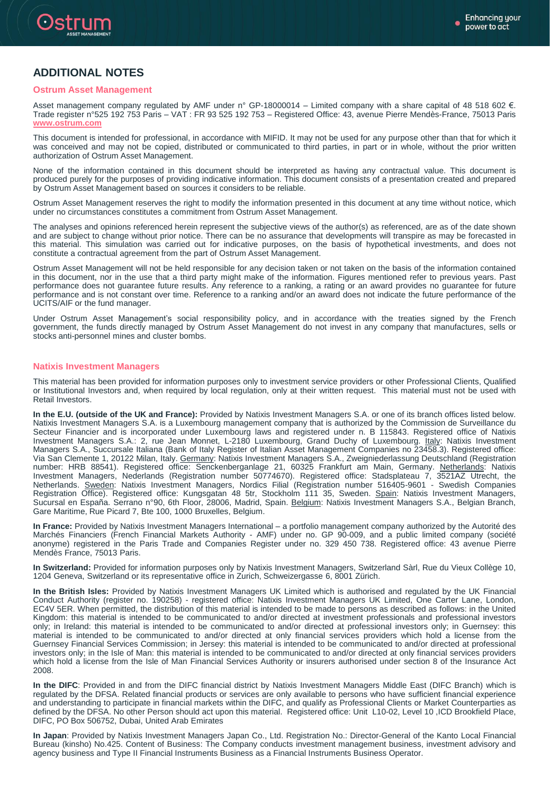

## **ADDITIONAL NOTES**

#### **Ostrum Asset Management**

Asset management company regulated by AMF under n° GP-18000014 – Limited company with a share capital of 48 518 602 €. Trade register n°525 192 753 Paris – VAT : FR 93 525 192 753 – Registered Office: 43, avenue Pierre Mendès-France, 75013 Paris **[www.ostrum.com](http://www.ostrum.com/)**

This document is intended for professional, in accordance with MIFID. It may not be used for any purpose other than that for which it was conceived and may not be copied, distributed or communicated to third parties, in part or in whole, without the prior written authorization of Ostrum Asset Management.

None of the information contained in this document should be interpreted as having any contractual value. This document is produced purely for the purposes of providing indicative information. This document consists of a presentation created and prepared by Ostrum Asset Management based on sources it considers to be reliable.

Ostrum Asset Management reserves the right to modify the information presented in this document at any time without notice, which under no circumstances constitutes a commitment from Ostrum Asset Management.

The analyses and opinions referenced herein represent the subjective views of the author(s) as referenced, are as of the date shown and are subject to change without prior notice. There can be no assurance that developments will transpire as may be forecasted in this material. This simulation was carried out for indicative purposes, on the basis of hypothetical investments, and does not constitute a contractual agreement from the part of Ostrum Asset Management.

Ostrum Asset Management will not be held responsible for any decision taken or not taken on the basis of the information contained in this document, nor in the use that a third party might make of the information. Figures mentioned refer to previous years. Past performance does not guarantee future results. Any reference to a ranking, a rating or an award provides no guarantee for future performance and is not constant over time. Reference to a ranking and/or an award does not indicate the future performance of the UCITS/AIF or the fund manager.

Under Ostrum Asset Management's social responsibility policy, and in accordance with the treaties signed by the French government, the funds directly managed by Ostrum Asset Management do not invest in any company that manufactures, sells or stocks anti-personnel mines and cluster bombs.

#### **Natixis Investment Managers**

This material has been provided for information purposes only to investment service providers or other Professional Clients, Qualified or Institutional Investors and, when required by local regulation, only at their written request. This material must not be used with Retail Investors.

**In the E.U. (outside of the UK and France):** Provided by Natixis Investment Managers S.A. or one of its branch offices listed below. Natixis Investment Managers S.A. is a Luxembourg management company that is authorized by the Commission de Surveillance du Secteur Financier and is incorporated under Luxembourg laws and registered under n. B 115843. Registered office of Natixis Investment Managers S.A.: 2, rue Jean Monnet, L-2180 Luxembourg, Grand Duchy of Luxembourg. Italy: Natixis Investment Managers S.A., Succursale Italiana (Bank of Italy Register of Italian Asset Management Companies no 23458.3). Registered office: Via San Clemente 1, 20122 Milan, Italy. Germany: Natixis Investment Managers S.A., Zweigniederlassung Deutschland (Registration number: HRB 88541). Registered office: Senckenberganlage 21, 60325 Frankfurt am Main, Germany. Netherlands: Natixis Investment Managers, Nederlands (Registration number 50774670). Registered office: Stadsplateau 7, 3521AZ Utrecht, the Netherlands. Sweden: Natixis Investment Managers, Nordics Filial (Registration number 516405-9601 - Swedish Companies Registration Office). Registered office: Kungsgatan 48 5tr, Stockholm 111 35, Sweden. Spain: Natixis Investment Managers, Sucursal en España. Serrano n°90, 6th Floor, 28006, Madrid, Spain. Belgium: Natixis Investment Managers S.A., Belgian Branch, Gare Maritime, Rue Picard 7, Bte 100, 1000 Bruxelles, Belgium.

**In France:** Provided by Natixis Investment Managers International – a portfolio management company authorized by the Autorité des Marchés Financiers (French Financial Markets Authority - AMF) under no. GP 90-009, and a public limited company (société anonyme) registered in the Paris Trade and Companies Register under no. 329 450 738. Registered office: 43 avenue Pierre Mendès France, 75013 Paris.

**In Switzerland:** Provided for information purposes only by Natixis Investment Managers, Switzerland Sàrl, Rue du Vieux Collège 10, 1204 Geneva, Switzerland or its representative office in Zurich, Schweizergasse 6, 8001 Zürich.

**In the British Isles:** Provided by Natixis Investment Managers UK Limited which is authorised and regulated by the UK Financial Conduct Authority (register no. 190258) - registered office: Natixis Investment Managers UK Limited, One Carter Lane, London, EC4V 5ER. When permitted, the distribution of this material is intended to be made to persons as described as follows: in the United Kingdom: this material is intended to be communicated to and/or directed at investment professionals and professional investors only; in Ireland: this material is intended to be communicated to and/or directed at professional investors only; in Guernsey: this material is intended to be communicated to and/or directed at only financial services providers which hold a license from the Guernsey Financial Services Commission; in Jersey: this material is intended to be communicated to and/or directed at professional investors only; in the Isle of Man: this material is intended to be communicated to and/or directed at only financial services providers which hold a license from the Isle of Man Financial Services Authority or insurers authorised under section 8 of the Insurance Act 2008.

**In the DIFC**: Provided in and from the DIFC financial district by Natixis Investment Managers Middle East (DIFC Branch) which is regulated by the DFSA. Related financial products or services are only available to persons who have sufficient financial experience and understanding to participate in financial markets within the DIFC, and qualify as Professional Clients or Market Counterparties as defined by the DFSA. No other Person should act upon this material. Registered office: Unit L10-02, Level 10 ,ICD Brookfield Place, DIFC, PO Box 506752, Dubai, United Arab Emirates

**In Japan**: Provided by Natixis Investment Managers Japan Co., Ltd. Registration No.: Director-General of the Kanto Local Financial Bureau (kinsho) No.425. Content of Business: The Company conducts investment management business, investment advisory and agency business and Type II Financial Instruments Business as a Financial Instruments Business Operator.